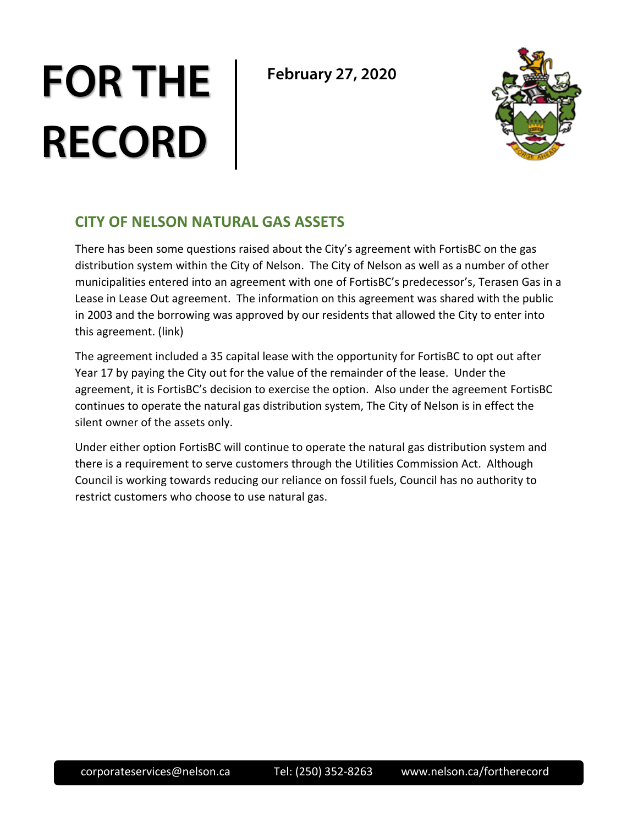# **FOR THE RECORD**

**February 27, 2020**



### **CITY OF NELSON NATURAL GAS ASSETS**

There has been some questions raised about the City's agreement with FortisBC on the gas distribution system within the City of Nelson. The City of Nelson as well as a number of other municipalities entered into an agreement with one of FortisBC's predecessor's, Terasen Gas in a Lease in Lease Out agreement. The information on this agreement was shared with the public in 2003 and the borrowing was approved by our residents that allowed the City to enter into this agreement. (link)

The agreement included a 35 capital lease with the opportunity for FortisBC to opt out after Year 17 by paying the City out for the value of the remainder of the lease. Under the agreement, it is FortisBC's decision to exercise the option. Also under the agreement FortisBC continues to operate the natural gas distribution system, The City of Nelson is in effect the silent owner of the assets only.

Under either option FortisBC will continue to operate the natural gas distribution system and there is a requirement to serve customers through the Utilities Commission Act. Although Council is working towards reducing our reliance on fossil fuels, Council has no authority to restrict customers who choose to use natural gas.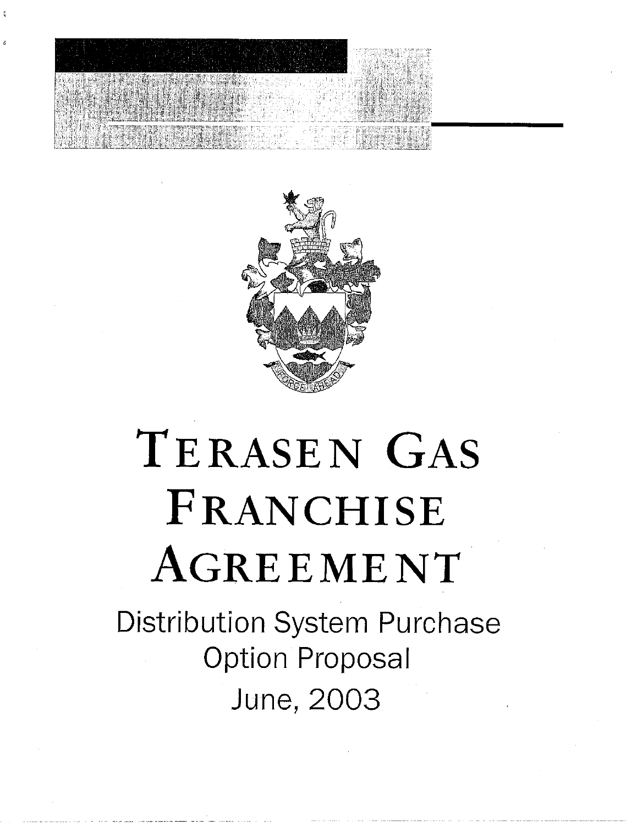



## TERASEN GAS FRANCHISE AGREEMENT

**Distribution System Purchase Option Proposal** June, 2003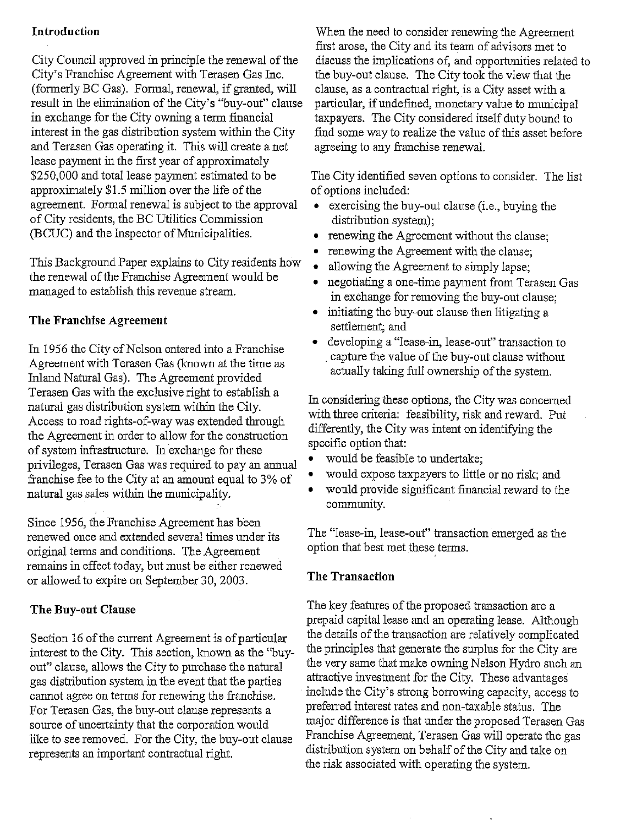#### **Introduction**

City Council approved in principle the renewal of the City's Franchise Agreement with Terasen Gas Inc. (formerly BC Gas). Formal, renewal, if granted, will result in the elimination of the City's "buy-out" clause in exchange for the City owning a term financial interest in the gas distribution system within the City and Terasen Gas operating it. This will create a net lease payment in the first year of approximately \$250,000 and total lease payment estimated to be approximately \$1.5 million over the life of the agreement. Formal renewal is subject to the approval of City residents, the BC Utilities Commission (BCUC) and the Inspector of Municipalities.

This Background Paper explains to City residents how the renewal of the Franchise Agreement would be managed to establish this revenue stream.

#### The Franchise Agreement

In 1956 the City of Nelson entered into a Franchise Agreement with Terasen Gas (known at the time as Inland Natural Gas). The Agreement provided Terasen Gas with the exclusive right to establish a natural gas distribution system within the City. Access to road rights-of-way was extended through the Agreement in order to allow for the construction of system infrastructure. In exchange for these privileges, Terasen Gas was required to pay an annual franchise fee to the City at an amount equal to 3% of natural gas sales within the municipality.

Since 1956, the Franchise Agreement has been renewed once and extended several times under its original terms and conditions. The Agreement remains in effect today, but must be either renewed or allowed to expire on September 30, 2003.

#### **The Buy-out Clause**

Section 16 of the current Agreement is of particular interest to the City. This section, known as the "buyout" clause, allows the City to purchase the natural gas distribution system in the event that the parties cannot agree on terms for renewing the franchise. For Terasen Gas, the buy-out clause represents a source of uncertainty that the corporation would like to see removed. For the City, the buy-out clause represents an important contractual right.

When the need to consider renewing the Agreement first arose, the City and its team of advisors met to discuss the implications of, and opportunities related to the buy-out clause. The City took the view that the clause, as a contractual right, is a City asset with a particular, if undefined, monetary value to municipal taxpayers. The City considered itself duty bound to find some way to realize the value of this asset before agreeing to any franchise renewal.

The City identified seven options to consider. The list of options included:

- exercising the buy-out clause (i.e., buying the distribution system);
- renewing the Agreement without the clause:
- renewing the Agreement with the clause;
- allowing the Agreement to simply lapse;
- negotiating a one-time payment from Terasen Gas  $\bullet$ in exchange for removing the buy-out clause;
- initiating the buy-out clause then litigating a settlement; and
- developing a "lease-in, lease-out" transaction to capture the value of the buy-out clause without actually taking full ownership of the system.

In considering these options, the City was concerned with three criteria: feasibility, risk and reward. Put differently, the City was intent on identifying the specific option that:

- would be feasible to undertake;
- would expose taxpayers to little or no risk; and
- would provide significant financial reward to the community.

The "lease-in, lease-out" transaction emerged as the option that best met these terms.

#### **The Transaction**

The key features of the proposed transaction are a prepaid capital lease and an operating lease. Although the details of the transaction are relatively complicated the principles that generate the surplus for the City are the very same that make owning Nelson Hydro such an attractive investment for the City. These advantages include the City's strong borrowing capacity, access to preferred interest rates and non-taxable status. The major difference is that under the proposed Terasen Gas Franchise Agreement, Terasen Gas will operate the gas distribution system on behalf of the City and take on the risk associated with operating the system.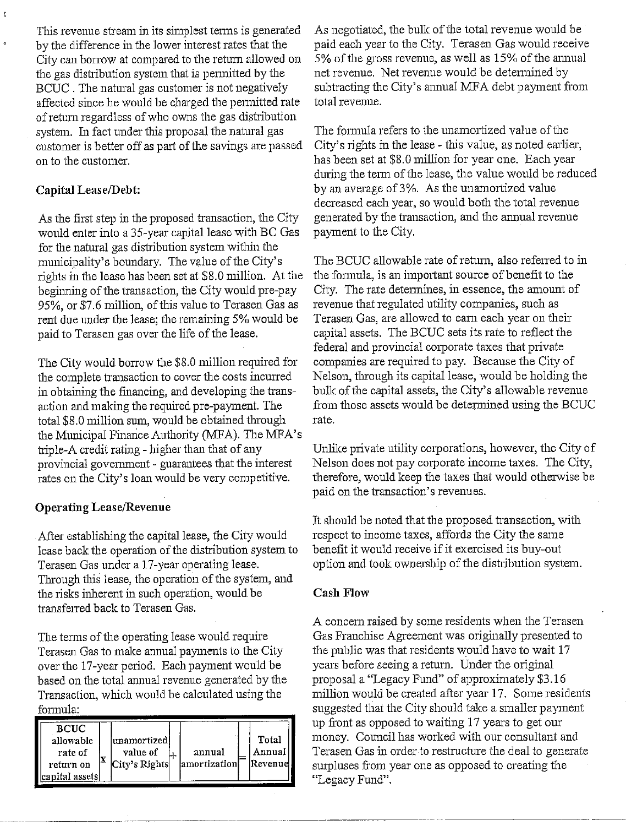This revenue stream in its simplest terms is generated by the difference in the lower interest rates that the City can borrow at compared to the return allowed on the gas distribution system that is permitted by the BCUC. The natural gas customer is not negatively affected since he would be charged the permitted rate of return regardless of who owns the gas distribution system. In fact under this proposal the natural gas customer is better off as part of the savings are passed on to the customer.

#### Capital Lease/Debt:

As the first step in the proposed transaction, the City would enter into a 35-year capital lease with BC Gas for the natural gas distribution system within the municipality's boundary. The value of the City's rights in the lease has been set at \$8.0 million. At the beginning of the transaction, the City would pre-pay 95%, or \$7.6 million, of this value to Terasen Gas as rent due under the lease; the remaining 5% would be paid to Terasen gas over the life of the lease.

The City would borrow the \$8.0 million required for the complete transaction to cover the costs incurred in obtaining the financing, and developing the transaction and making the required pre-payment. The total \$8.0 million sum, would be obtained through the Municipal Finance Authority (MFA). The MFA's triple-A credit rating - higher than that of any provincial government - guarantees that the interest rates on the City's loan would be very competitive.

#### **Operating Lease/Revenue**

After establishing the capital lease, the City would lease back the operation of the distribution system to Terasen Gas under a 17-year operating lease. Through this lease, the operation of the system, and the risks inherent in such operation, would be transferred back to Terasen Gas.

The terms of the operating lease would require Terasen Gas to make annual payments to the City over the 17-year period. Each payment would be based on the total annual revenue generated by the Transaction, which would be calculated using the formula:

| <b>BCUC</b>     |   |                         |               |  |          |
|-----------------|---|-------------------------|---------------|--|----------|
| allowable       |   | unamortized<br>value of | annual        |  | Total    |
| rate of         |   |                         |               |  | Annual   |
| return on       | Χ | City's Rights           | lamortization |  | Revenuel |
| capital assets! |   |                         |               |  |          |

As negotiated, the bulk of the total revenue would be paid each year to the City. Terasen Gas would receive 5% of the gross revenue, as well as 15% of the annual net revenue. Net revenue would be determined by subtracting the City's annual MFA debt payment from total revenue.

The formula refers to the unamortized value of the City's rights in the lease - this value, as noted earlier, has been set at \$8.0 million for year one. Each year during the term of the lease, the value would be reduced by an average of 3%. As the unamortized value decreased each year, so would both the total revenue generated by the transaction, and the annual revenue payment to the City.

The BCUC allowable rate of return, also referred to in the formula, is an important source of benefit to the City. The rate determines, in essence, the amount of revenue that regulated utility companies, such as Terasen Gas, are allowed to earn each year on their capital assets. The BCUC sets its rate to reflect the federal and provincial corporate taxes that private companies are required to pay. Because the City of Nelson, through its capital lease, would be holding the bulk of the capital assets, the City's allowable revenue from those assets would be determined using the BCUC rate.

Unlike private utility corporations, however, the City of Nelson does not pay corporate income taxes. The City, therefore, would keep the taxes that would otherwise be paid on the transaction's revenues.

It should be noted that the proposed transaction, with respect to income taxes, affords the City the same benefit it would receive if it exercised its buy-out option and took ownership of the distribution system.

#### **Cash Flow**

A concern raised by some residents when the Terasen Gas Franchise Agreement was originally presented to the public was that residents would have to wait 17 years before seeing a return. Under the original proposal a "Legacy Fund" of approximately \$3.16 million would be created after year 17. Some residents suggested that the City should take a smaller payment up front as opposed to waiting 17 years to get our money. Council has worked with our consultant and Terasen Gas in order to restructure the deal to generate surpluses from year one as opposed to creating the "Legacy Fund".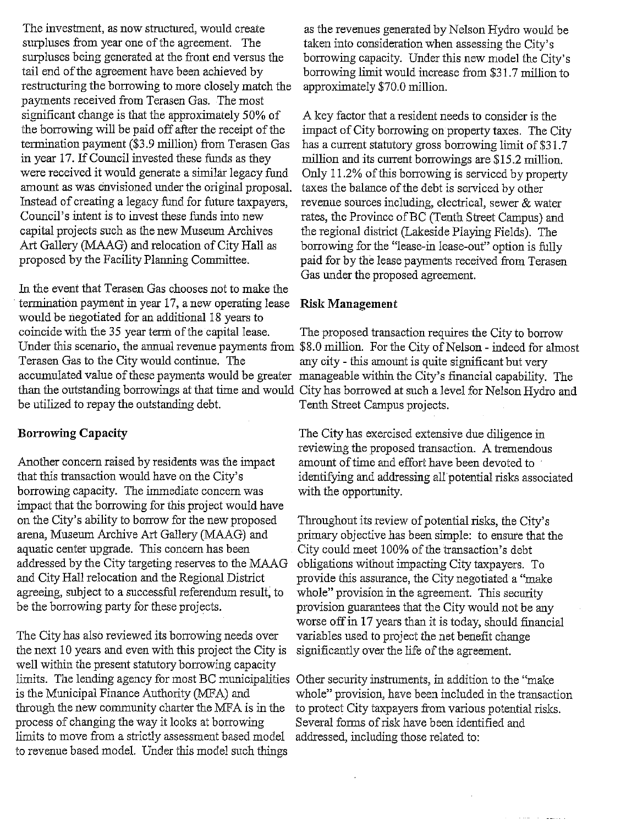The investment, as now structured, would create surpluses from year one of the agreement. The surpluses being generated at the front end versus the tail end of the agreement have been achieved by restructuring the borrowing to more closely match the payments received from Terasen Gas. The most significant change is that the approximately 50% of the borrowing will be paid off after the receipt of the termination payment (\$3.9 million) from Terasen Gas in year 17. If Council invested these funds as they were received it would generate a similar legacy fund amount as was envisioned under the original proposal. Instead of creating a legacy fund for future taxpayers, Council's intent is to invest these funds into new capital projects such as the new Museum Archives Art Gallery (MAAG) and relocation of City Hall as proposed by the Facility Planning Committee.

In the event that Terasen Gas chooses not to make the termination payment in year 17, a new operating lease would be negotiated for an additional 18 years to coincide with the 35 year term of the capital lease. Terasen Gas to the City would continue. The accumulated value of these payments would be greater manageable within the City's financial capability. The be utilized to repay the outstanding debt.

#### **Borrowing Capacity**

Another concern raised by residents was the impact that this transaction would have on the City's borrowing capacity. The immediate concern was impact that the borrowing for this project would have on the City's ability to borrow for the new proposed arena, Museum Archive Art Gallery (MAAG) and aquatic center upgrade. This concern has been addressed by the City targeting reserves to the MAAG and City Hall relocation and the Regional District agreeing, subject to a successful referendum result, to be the borrowing party for these projects.

The City has also reviewed its borrowing needs over the next 10 years and even with this project the City is well within the present statutory borrowing capacity limits. The lending agency for most BC municipalities Other security instruments, in addition to the "make" is the Municipal Finance Authority (MFA) and through the new community charter the MFA is in the process of changing the way it looks at borrowing limits to move from a strictly assessment based model to revenue based model. Under this model such things

as the revenues generated by Nelson Hydro would be taken into consideration when assessing the City's borrowing capacity. Under this new model the City's borrowing limit would increase from \$31.7 million to approximately \$70.0 million.

A key factor that a resident needs to consider is the impact of City borrowing on property taxes. The City has a current statutory gross borrowing limit of \$31.7 million and its current borrowings are \$15.2 million. Only 11.2% of this borrowing is serviced by property taxes the balance of the debt is serviced by other revenue sources including, electrical, sewer & water rates, the Province of BC (Tenth Street Campus) and the regional district (Lakeside Playing Fields). The borrowing for the "lease-in lease-out" option is fully paid for by the lease payments received from Terasen Gas under the proposed agreement.

#### **Risk Management**

The proposed transaction requires the City to borrow Under this scenario, the annual revenue payments from \$8.0 million. For the City of Nelson - indeed for almost any city - this amount is quite significant but very than the outstanding borrowings at that time and would City has borrowed at such a level for Nelson Hydro and Tenth Street Campus projects.

> The City has exercised extensive due diligence in reviewing the proposed transaction. A tremendous amount of time and effort have been devoted to identifying and addressing all potential risks associated with the opportunity.

Throughout its review of potential risks, the City's primary objective has been simple: to ensure that the City could meet 100% of the transaction's debt obligations without impacting City taxpayers. To provide this assurance, the City negotiated a "make whole" provision in the agreement. This security provision guarantees that the City would not be any worse off in 17 years than it is today, should financial variables used to project the net benefit change significantly over the life of the agreement.

whole" provision, have been included in the transaction to protect City taxpayers from various potential risks. Several forms of risk have been identified and addressed, including those related to: